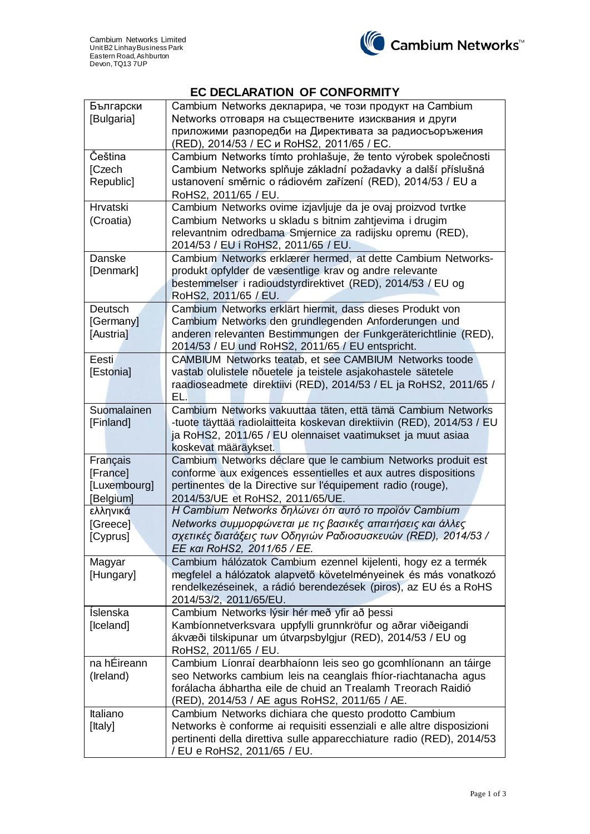

## **EC DECLARATION OF CONFORMITY**

| Български                                                                    | Cambium Networks декларира, че този продукт на Cambium                 |  |  |  |
|------------------------------------------------------------------------------|------------------------------------------------------------------------|--|--|--|
| [Bulgaria]                                                                   | Networks отговаря на съществените изисквания и други                   |  |  |  |
|                                                                              | приложими разпоредби на Директивата за радиосъоръжения                 |  |  |  |
|                                                                              | (RED), 2014/53 / EC и RoHS2, 2011/65 / EC.                             |  |  |  |
| Čeština                                                                      | Cambium Networks tímto prohlašuje, že tento výrobek společnosti        |  |  |  |
| Cambium Networks splňuje základní požadavky a další příslušná<br>[Czech      |                                                                        |  |  |  |
| ustanovení směrnic o rádiovém zařízení (RED), 2014/53 / EU a<br>Republic]    |                                                                        |  |  |  |
|                                                                              | RoHS2, 2011/65 / EU.                                                   |  |  |  |
| <b>Hrvatski</b>                                                              | Cambium Networks ovime izjavljuje da je ovaj proizvod tvrtke           |  |  |  |
| (Croatia)                                                                    | Cambium Networks u skladu s bitnim zahtjevima i drugim                 |  |  |  |
| relevantnim odredbama Smjernice za radijsku opremu (RED),                    |                                                                        |  |  |  |
|                                                                              | 2014/53 / EU i RoHS2, 2011/65 / EU.                                    |  |  |  |
| Danske                                                                       | Cambium Networks erklærer hermed, at dette Cambium Networks-           |  |  |  |
| [Denmark]                                                                    | produkt opfylder de væsentlige krav og andre relevante                 |  |  |  |
|                                                                              | bestemmelser i radioudstyrdirektivet (RED), 2014/53 / EU og            |  |  |  |
|                                                                              | RoHS2, 2011/65 / EU.                                                   |  |  |  |
| Deutsch                                                                      | Cambium Networks erklärt hiermit, dass dieses Produkt von              |  |  |  |
| [Germany]                                                                    | Cambium Networks den grundlegenden Anforderungen und                   |  |  |  |
| [Austria]                                                                    | anderen relevanten Bestimmungen der Funkgeräterichtlinie (RED),        |  |  |  |
|                                                                              | 2014/53 / EU und RoHS2, 2011/65 / EU entspricht.                       |  |  |  |
| Eesti                                                                        | CAMBIUM Networks teatab, et see CAMBIUM Networks toode                 |  |  |  |
| [Estonia]                                                                    | vastab olulistele nõuetele ja teistele asjakohastele sätetele          |  |  |  |
|                                                                              | raadioseadmete direktiivi (RED), 2014/53 / EL ja RoHS2, 2011/65 /      |  |  |  |
|                                                                              | EL.                                                                    |  |  |  |
| Suomalainen                                                                  | Cambium Networks vakuuttaa täten, että tämä Cambium Networks           |  |  |  |
| [Finland]                                                                    | -tuote täyttää radiolaitteita koskevan direktiivin (RED), 2014/53 / EU |  |  |  |
|                                                                              | ja RoHS2, 2011/65 / EU olennaiset vaatimukset ja muut asiaa            |  |  |  |
|                                                                              | koskevat määräykset.                                                   |  |  |  |
| Français                                                                     | Cambium Networks déclare que le cambium Networks produit est           |  |  |  |
| [France]                                                                     | conforme aux exigences essentielles et aux autres dispositions         |  |  |  |
| [Luxembourg]                                                                 | pertinentes de la Directive sur l'équipement radio (rouge),            |  |  |  |
| [Belgium]                                                                    | 2014/53/UE et RoHS2, 2011/65/UE.                                       |  |  |  |
| ελληνικά                                                                     | Η Cambium Networks δηλώνει ότι αυτό το προϊόν Cambium                  |  |  |  |
| [Greece]                                                                     | Networks συμμορφώνεται με τις βασικές απαιτήσεις και άλλες             |  |  |  |
| [Cyprus]                                                                     | σχετικές διατάξεις των Οδηγιών Ραδιοσυσκευών (RED), 2014/53 /          |  |  |  |
|                                                                              | EE και RoHS2, 2011/65 / EE.                                            |  |  |  |
| Magyar                                                                       | Cambium hálózatok Cambium ezennel kijelenti, hogy ez a termék          |  |  |  |
| megfelel a hálózatok alapvető követelményeinek és más vonatkozó<br>[Hungary] |                                                                        |  |  |  |
|                                                                              | rendelkezéseinek, a rádió berendezések (piros), az EU és a RoHS        |  |  |  |
|                                                                              | 2014/53/2, 2011/65/EU.                                                 |  |  |  |
| <b>Íslenska</b>                                                              | Cambium Networks lýsir hér með yfir að þessi                           |  |  |  |
| [Iceland]                                                                    | Kambíonnetverksvara uppfylli grunnkröfur og aðrar viðeigandi           |  |  |  |
| ákvæði tilskipunar um útvarpsbylgjur (RED), 2014/53 / EU og                  |                                                                        |  |  |  |
|                                                                              | RoHS2, 2011/65 / EU.                                                   |  |  |  |
| na hÉireann                                                                  | Cambium Líonraí dearbhaíonn leis seo go gcomhlíonann an táirge         |  |  |  |
| seo Networks cambium leis na ceanglais fhíor-riachtanacha agus<br>(Ireland)  |                                                                        |  |  |  |
|                                                                              | forálacha ábhartha eile de chuid an Trealamh Treorach Raidió           |  |  |  |
|                                                                              | (RED), 2014/53 / AE agus RoHS2, 2011/65 / AE.                          |  |  |  |
| Italiano                                                                     | Cambium Networks dichiara che questo prodotto Cambium                  |  |  |  |
| [Italy]                                                                      | Networks è conforme ai requisiti essenziali e alle altre disposizioni  |  |  |  |
|                                                                              | pertinenti della direttiva sulle apparecchiature radio (RED), 2014/53  |  |  |  |
|                                                                              | / EU e RoHS2, 2011/65 / EU.                                            |  |  |  |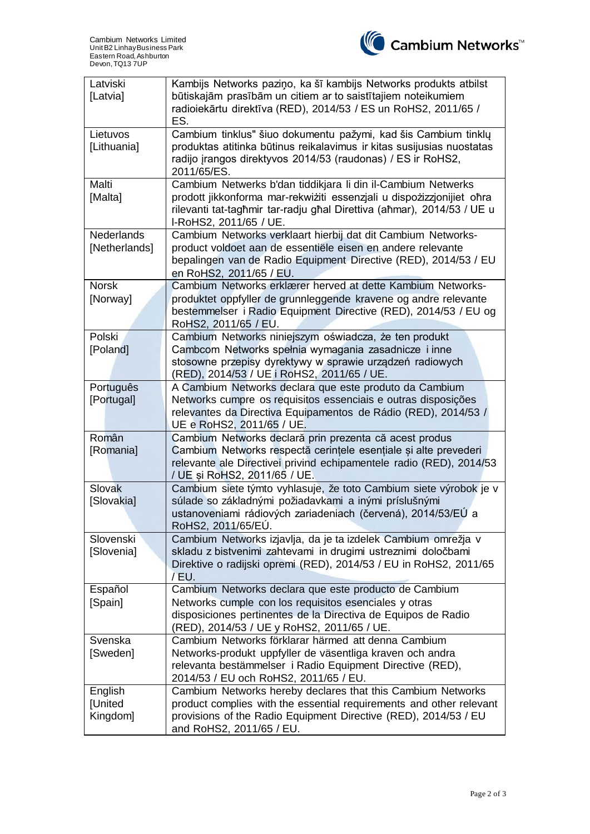

| Latviski<br>[Latvia]               | Kambijs Networks paziņo, ka šī kambijs Networks produkts atbilst<br>būtiskajām prasībām un citiem ar to saistītajiem noteikumiem<br>radioiekārtu direktīva (RED), 2014/53 / ES un RoHS2, 2011/65 /<br>ES.                                 |  |  |
|------------------------------------|-------------------------------------------------------------------------------------------------------------------------------------------------------------------------------------------------------------------------------------------|--|--|
| Lietuvos<br>[Lithuania]            | Cambium tinklus" šiuo dokumentu pažymi, kad šis Cambium tinklų<br>produktas atitinka būtinus reikalavimus ir kitas susijusias nuostatas<br>radijo įrangos direktyvos 2014/53 (raudonas) / ES ir RoHS2,<br>2011/65/ES.                     |  |  |
| Malti<br>[Malta]                   | Cambium Netwerks b'dan tiddikjara li din il-Cambium Netwerks<br>prodott jikkonforma mar-rekwiżiti essenzjali u dispożizzjonijiet oħra<br>rilevanti tat-tagħmir tar-radju għal Direttiva (aħmar), 2014/53 / UE u<br>I-RoHS2, 2011/65 / UE. |  |  |
| <b>Nederlands</b><br>[Netherlands] | Cambium Networks verklaart hierbij dat dit Cambium Networks-<br>product voldoet aan de essentiële eisen en andere relevante<br>bepalingen van de Radio Equipment Directive (RED), 2014/53 / EU<br>en RoHS2, 2011/65 / EU.                 |  |  |
| <b>Norsk</b><br>[Norway]           | Cambium Networks erklærer herved at dette Kambium Networks-<br>produktet oppfyller de grunnleggende kravene og andre relevante<br>bestemmelser i Radio Equipment Directive (RED), 2014/53 / EU og<br>RoHS2, 2011/65 / EU.                 |  |  |
| Polski<br>[Poland]                 | Cambium Networks niniejszym oświadcza, że ten produkt<br>Cambcom Networks spełnia wymagania zasadnicze i inne<br>stosowne przepisy dyrektywy w sprawie urządzeń radiowych<br>(RED), 2014/53 / UE i RoHS2, 2011/65 / UE.                   |  |  |
| Português<br>[Portugal]            | A Cambium Networks declara que este produto da Cambium<br>Networks cumpre os requisitos essenciais e outras disposições<br>relevantes da Directiva Equipamentos de Rádio (RED), 2014/53 /<br>UE e RoHS2, 2011/65 / UE.                    |  |  |
| Român<br>[Romania]                 | Cambium Networks declară prin prezenta că acest produs<br>Cambium Networks respectă cerințele esențiale și alte prevederi<br>relevante ale Directivei privind echipamentele radio (RED), 2014/53<br>/ UE și RoHS2, 2011/65 / UE.          |  |  |
| Slovak<br>[Slovakia]               | Cambium siete týmto vyhlasuje, že toto Cambium siete výrobok je v<br>súlade so základnými požiadavkami a inými príslušnými<br>ustanoveniami rádiových zariadeniach (červená), 2014/53/EÚ a<br>RoHS2, 2011/65/EU.                          |  |  |
| Slovenski<br>[Slovenia]            | Cambium Networks izjavlja, da je ta izdelek Cambium omrežja v<br>skladu z bistvenimi zahtevami in drugimi ustreznimi določbami<br>Direktive o radijski opremi (RED), 2014/53 / EU in RoHS2, 2011/65<br>/EU.                               |  |  |
| Español<br>[Spain]                 | Cambium Networks declara que este producto de Cambium<br>Networks cumple con los requisitos esenciales y otras<br>disposiciones pertinentes de la Directiva de Equipos de Radio<br>(RED), 2014/53 / UE y RoHS2, 2011/65 / UE.             |  |  |
| Svenska<br>[Sweden]                | Cambium Networks förklarar härmed att denna Cambium<br>Networks-produkt uppfyller de väsentliga kraven och andra<br>relevanta bestämmelser i Radio Equipment Directive (RED),<br>2014/53 / EU och RoHS2, 2011/65 / EU.                    |  |  |
| English<br>[United<br>Kingdom]     | Cambium Networks hereby declares that this Cambium Networks<br>product complies with the essential requirements and other relevant<br>provisions of the Radio Equipment Directive (RED), 2014/53 / EU<br>and RoHS2, 2011/65 / EU.         |  |  |